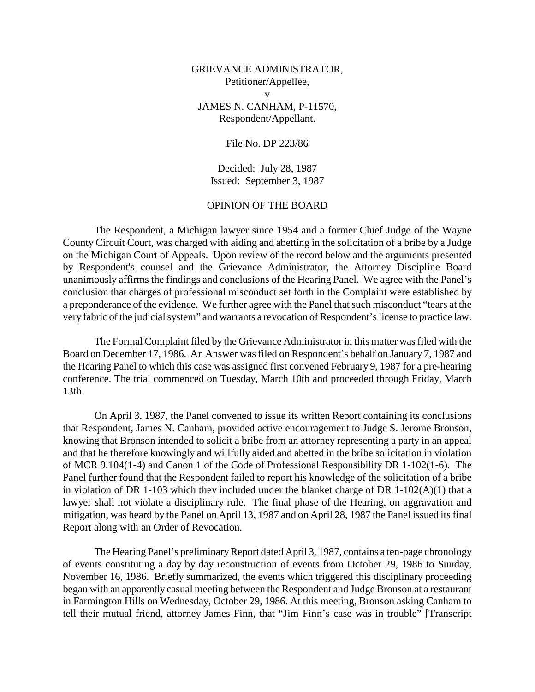## GRIEVANCE ADMINISTRATOR, Petitioner/Appellee, v JAMES N. CANHAM, P-11570, Respondent/Appellant.

## File No. DP 223/86

Decided: July 28, 1987 Issued: September 3, 1987

## OPINION OF THE BOARD

The Respondent, a Michigan lawyer since 1954 and a former Chief Judge of the Wayne County Circuit Court, was charged with aiding and abetting in the solicitation of a bribe by a Judge on the Michigan Court of Appeals. Upon review of the record below and the arguments presented by Respondent's counsel and the Grievance Administrator, the Attorney Discipline Board unanimously affirms the findings and conclusions of the Hearing Panel. We agree with the Panel's conclusion that charges of professional misconduct set forth in the Complaint were established by a preponderance of the evidence. We further agree with the Panel that such misconduct "tears at the very fabric of the judicial system" and warrants a revocation of Respondent's license to practice law.

The Formal Complaint filed by the Grievance Administrator in this matter was filed with the Board on December 17, 1986. An Answer was filed on Respondent's behalf on January 7, 1987 and the Hearing Panel to which this case was assigned first convened February 9, 1987 for a pre-hearing conference. The trial commenced on Tuesday, March 10th and proceeded through Friday, March 13th.

On April 3, 1987, the Panel convened to issue its written Report containing its conclusions that Respondent, James N. Canham, provided active encouragement to Judge S. Jerome Bronson, knowing that Bronson intended to solicit a bribe from an attorney representing a party in an appeal and that he therefore knowingly and willfully aided and abetted in the bribe solicitation in violation of MCR 9.104(1-4) and Canon 1 of the Code of Professional Responsibility DR 1-102(1-6). The Panel further found that the Respondent failed to report his knowledge of the solicitation of a bribe in violation of DR 1-103 which they included under the blanket charge of DR 1-102(A)(1) that a lawyer shall not violate a disciplinary rule. The final phase of the Hearing, on aggravation and mitigation, was heard by the Panel on April 13, 1987 and on April 28, 1987 the Panel issued its final Report along with an Order of Revocation.

The Hearing Panel's preliminary Report dated April 3, 1987, contains a ten-page chronology of events constituting a day by day reconstruction of events from October 29, 1986 to Sunday, November 16, 1986. Briefly summarized, the events which triggered this disciplinary proceeding began with an apparently casual meeting between the Respondent and Judge Bronson at a restaurant in Farmington Hills on Wednesday, October 29, 1986. At this meeting, Bronson asking Canham to tell their mutual friend, attorney James Finn, that "Jim Finn's case was in trouble" [Transcript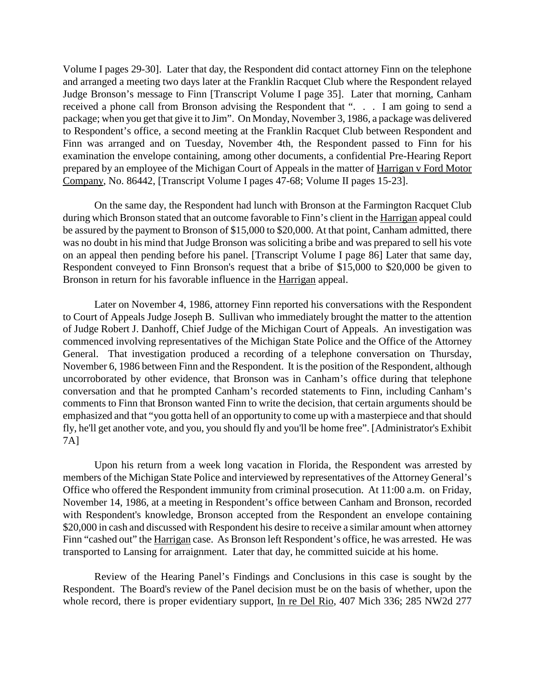Volume I pages 29-30]. Later that day, the Respondent did contact attorney Finn on the telephone and arranged a meeting two days later at the Franklin Racquet Club where the Respondent relayed Judge Bronson's message to Finn [Transcript Volume I page 35]. Later that morning, Canham received a phone call from Bronson advising the Respondent that ". . . I am going to send a package; when you get that give it to Jim". On Monday, November 3, 1986, a package was delivered to Respondent's office, a second meeting at the Franklin Racquet Club between Respondent and Finn was arranged and on Tuesday, November 4th, the Respondent passed to Finn for his examination the envelope containing, among other documents, a confidential Pre-Hearing Report prepared by an employee of the Michigan Court of Appeals in the matter of Harrigan v Ford Motor Company, No. 86442, [Transcript Volume I pages 47-68; Volume II pages 15-23].

On the same day, the Respondent had lunch with Bronson at the Farmington Racquet Club during which Bronson stated that an outcome favorable to Finn's client in the Harrigan appeal could be assured by the payment to Bronson of \$15,000 to \$20,000. At that point, Canham admitted, there was no doubt in his mind that Judge Bronson was soliciting a bribe and was prepared to sell his vote on an appeal then pending before his panel. [Transcript Volume I page 86] Later that same day, Respondent conveyed to Finn Bronson's request that a bribe of \$15,000 to \$20,000 be given to Bronson in return for his favorable influence in the Harrigan appeal.

Later on November 4, 1986, attorney Finn reported his conversations with the Respondent to Court of Appeals Judge Joseph B. Sullivan who immediately brought the matter to the attention of Judge Robert J. Danhoff, Chief Judge of the Michigan Court of Appeals. An investigation was commenced involving representatives of the Michigan State Police and the Office of the Attorney General. That investigation produced a recording of a telephone conversation on Thursday, November 6, 1986 between Finn and the Respondent. It is the position of the Respondent, although uncorroborated by other evidence, that Bronson was in Canham's office during that telephone conversation and that he prompted Canham's recorded statements to Finn, including Canham's comments to Finn that Bronson wanted Finn to write the decision, that certain arguments should be emphasized and that "you gotta hell of an opportunity to come up with a masterpiece and that should fly, he'll get another vote, and you, you should fly and you'll be home free". [Administrator's Exhibit 7A]

Upon his return from a week long vacation in Florida, the Respondent was arrested by members of the Michigan State Police and interviewed by representatives of the Attorney General's Office who offered the Respondent immunity from criminal prosecution. At 11:00 a.m. on Friday, November 14, 1986, at a meeting in Respondent's office between Canham and Bronson, recorded with Respondent's knowledge, Bronson accepted from the Respondent an envelope containing \$20,000 in cash and discussed with Respondent his desire to receive a similar amount when attorney Finn "cashed out" the Harrigan case. As Bronson left Respondent's office, he was arrested. He was transported to Lansing for arraignment. Later that day, he committed suicide at his home.

Review of the Hearing Panel's Findings and Conclusions in this case is sought by the Respondent. The Board's review of the Panel decision must be on the basis of whether, upon the whole record, there is proper evidentiary support, In re Del Rio, 407 Mich 336; 285 NW2d 277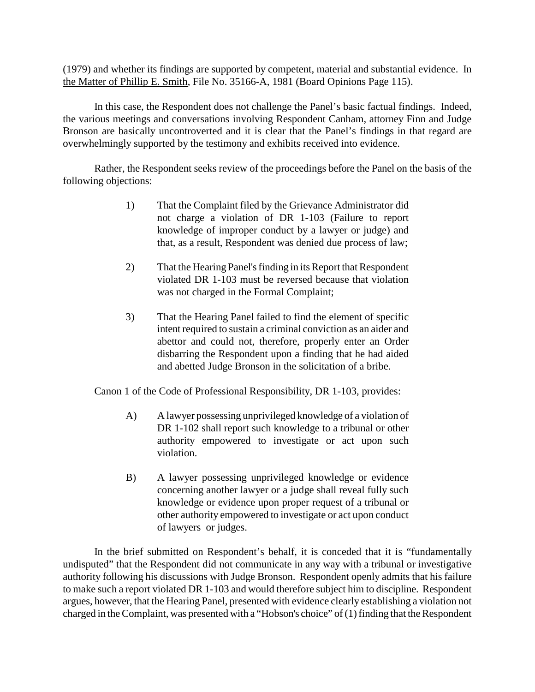(1979) and whether its findings are supported by competent, material and substantial evidence. In the Matter of Phillip E. Smith, File No. 35166-A, 1981 (Board Opinions Page 115).

In this case, the Respondent does not challenge the Panel's basic factual findings. Indeed, the various meetings and conversations involving Respondent Canham, attorney Finn and Judge Bronson are basically uncontroverted and it is clear that the Panel's findings in that regard are overwhelmingly supported by the testimony and exhibits received into evidence.

Rather, the Respondent seeks review of the proceedings before the Panel on the basis of the following objections:

- 1) That the Complaint filed by the Grievance Administrator did not charge a violation of DR 1-103 (Failure to report knowledge of improper conduct by a lawyer or judge) and that, as a result, Respondent was denied due process of law;
- 2) That the Hearing Panel's finding in its Report that Respondent violated DR 1-103 must be reversed because that violation was not charged in the Formal Complaint;
- 3) That the Hearing Panel failed to find the element of specific intent required to sustain a criminal conviction as an aider and abettor and could not, therefore, properly enter an Order disbarring the Respondent upon a finding that he had aided and abetted Judge Bronson in the solicitation of a bribe.

Canon 1 of the Code of Professional Responsibility, DR 1-103, provides:

- A) A lawyer possessing unprivileged knowledge of a violation of DR 1-102 shall report such knowledge to a tribunal or other authority empowered to investigate or act upon such violation.
- B) A lawyer possessing unprivileged knowledge or evidence concerning another lawyer or a judge shall reveal fully such knowledge or evidence upon proper request of a tribunal or other authority empowered to investigate or act upon conduct of lawyers or judges.

In the brief submitted on Respondent's behalf, it is conceded that it is "fundamentally undisputed" that the Respondent did not communicate in any way with a tribunal or investigative authority following his discussions with Judge Bronson. Respondent openly admits that his failure to make such a report violated DR 1-103 and would therefore subject him to discipline. Respondent argues, however, that the Hearing Panel, presented with evidence clearly establishing a violation not charged in the Complaint, was presented with a "Hobson's choice" of (1) finding that the Respondent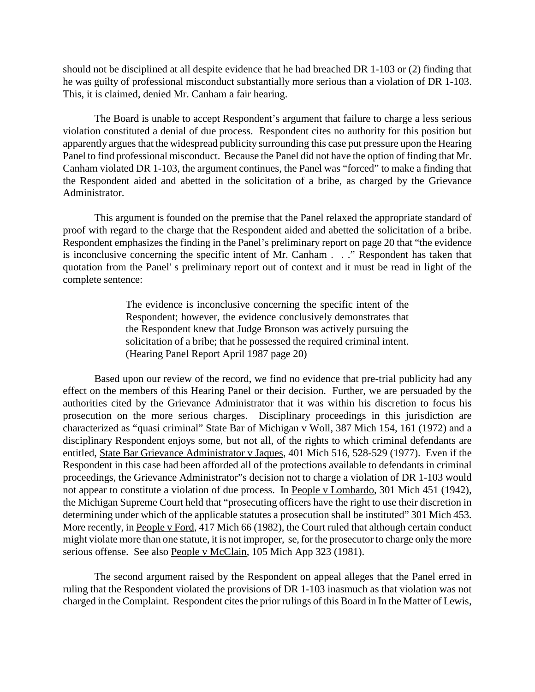should not be disciplined at all despite evidence that he had breached DR 1-103 or (2) finding that he was guilty of professional misconduct substantially more serious than a violation of DR 1-103. This, it is claimed, denied Mr. Canham a fair hearing.

The Board is unable to accept Respondent's argument that failure to charge a less serious violation constituted a denial of due process. Respondent cites no authority for this position but apparently argues that the widespread publicity surrounding this case put pressure upon the Hearing Panel to find professional misconduct. Because the Panel did not have the option of finding that Mr. Canham violated DR 1-103, the argument continues, the Panel was "forced" to make a finding that the Respondent aided and abetted in the solicitation of a bribe, as charged by the Grievance Administrator.

This argument is founded on the premise that the Panel relaxed the appropriate standard of proof with regard to the charge that the Respondent aided and abetted the solicitation of a bribe. Respondent emphasizes the finding in the Panel's preliminary report on page 20 that "the evidence is inconclusive concerning the specific intent of Mr. Canham . . ." Respondent has taken that quotation from the Panel' s preliminary report out of context and it must be read in light of the complete sentence:

> The evidence is inconclusive concerning the specific intent of the Respondent; however, the evidence conclusively demonstrates that the Respondent knew that Judge Bronson was actively pursuing the solicitation of a bribe; that he possessed the required criminal intent. (Hearing Panel Report April 1987 page 20)

Based upon our review of the record, we find no evidence that pre-trial publicity had any effect on the members of this Hearing Panel or their decision. Further, we are persuaded by the authorities cited by the Grievance Administrator that it was within his discretion to focus his prosecution on the more serious charges. Disciplinary proceedings in this jurisdiction are characterized as "quasi criminal" State Bar of Michigan v Woll, 387 Mich 154, 161 (1972) and a disciplinary Respondent enjoys some, but not all, of the rights to which criminal defendants are entitled, State Bar Grievance Administrator v Jaques, 401 Mich 516, 528-529 (1977). Even if the Respondent in this case had been afforded all of the protections available to defendants in criminal proceedings, the Grievance Administrator"s decision not to charge a violation of DR 1-103 would not appear to constitute a violation of due process. In People v Lombardo, 301 Mich 451 (1942), the Michigan Supreme Court held that "prosecuting officers have the right to use their discretion in determining under which of the applicable statutes a prosecution shall be instituted" 301 Mich 453. More recently, in People v Ford, 417 Mich 66 (1982), the Court ruled that although certain conduct might violate more than one statute, it is not improper, se, for the prosecutor to charge only the more serious offense. See also People v McClain, 105 Mich App 323 (1981).

The second argument raised by the Respondent on appeal alleges that the Panel erred in ruling that the Respondent violated the provisions of DR 1-103 inasmuch as that violation was not charged in the Complaint. Respondent cites the prior rulings of this Board in In the Matter of Lewis,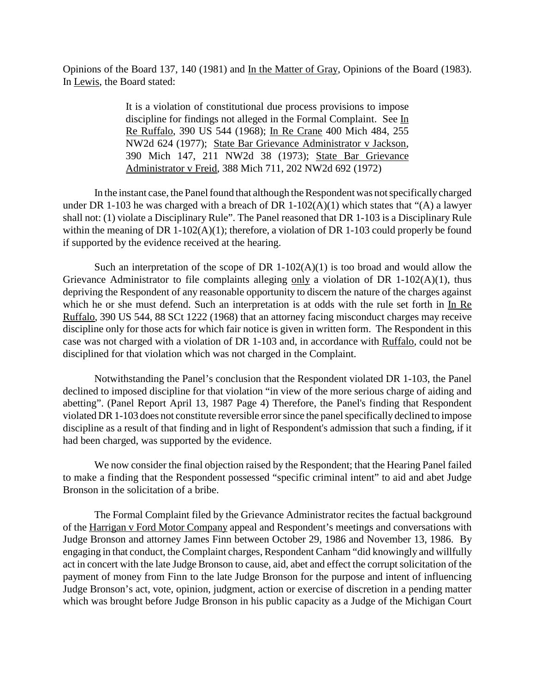Opinions of the Board 137, 140 (1981) and In the Matter of Gray, Opinions of the Board (1983). In Lewis, the Board stated:

> It is a violation of constitutional due process provisions to impose discipline for findings not alleged in the Formal Complaint. See In Re Ruffalo, 390 US 544 (1968); In Re Crane 400 Mich 484, 255 NW2d 624 (1977); State Bar Grievance Administrator v Jackson, 390 Mich 147, 211 NW2d 38 (1973); State Bar Grievance Administrator v Freid, 388 Mich 711, 202 NW2d 692 (1972)

In the instant case, the Panel found that although the Respondent was not specifically charged under DR 1-103 he was charged with a breach of DR 1-102(A)(1) which states that "(A) a lawyer shall not: (1) violate a Disciplinary Rule". The Panel reasoned that DR 1-103 is a Disciplinary Rule within the meaning of DR 1-102(A)(1); therefore, a violation of DR 1-103 could properly be found if supported by the evidence received at the hearing.

Such an interpretation of the scope of DR  $1-102(A)(1)$  is too broad and would allow the Grievance Administrator to file complaints alleging only a violation of DR 1-102(A)(1), thus depriving the Respondent of any reasonable opportunity to discern the nature of the charges against which he or she must defend. Such an interpretation is at odds with the rule set forth in In Re Ruffalo, 390 US 544, 88 SCt 1222 (1968) that an attorney facing misconduct charges may receive discipline only for those acts for which fair notice is given in written form. The Respondent in this case was not charged with a violation of DR 1-103 and, in accordance with Ruffalo, could not be disciplined for that violation which was not charged in the Complaint.

Notwithstanding the Panel's conclusion that the Respondent violated DR 1-103, the Panel declined to imposed discipline for that violation "in view of the more serious charge of aiding and abetting". (Panel Report April 13, 1987 Page 4) Therefore, the Panel's finding that Respondent violated DR 1-103 does not constitute reversible error since the panel specifically declined to impose discipline as a result of that finding and in light of Respondent's admission that such a finding, if it had been charged, was supported by the evidence.

We now consider the final objection raised by the Respondent; that the Hearing Panel failed to make a finding that the Respondent possessed "specific criminal intent" to aid and abet Judge Bronson in the solicitation of a bribe.

The Formal Complaint filed by the Grievance Administrator recites the factual background of the Harrigan v Ford Motor Company appeal and Respondent's meetings and conversations with Judge Bronson and attorney James Finn between October 29, 1986 and November 13, 1986. By engaging in that conduct, the Complaint charges, Respondent Canham "did knowingly and willfully act in concert with the late Judge Bronson to cause, aid, abet and effect the corrupt solicitation of the payment of money from Finn to the late Judge Bronson for the purpose and intent of influencing Judge Bronson's act, vote, opinion, judgment, action or exercise of discretion in a pending matter which was brought before Judge Bronson in his public capacity as a Judge of the Michigan Court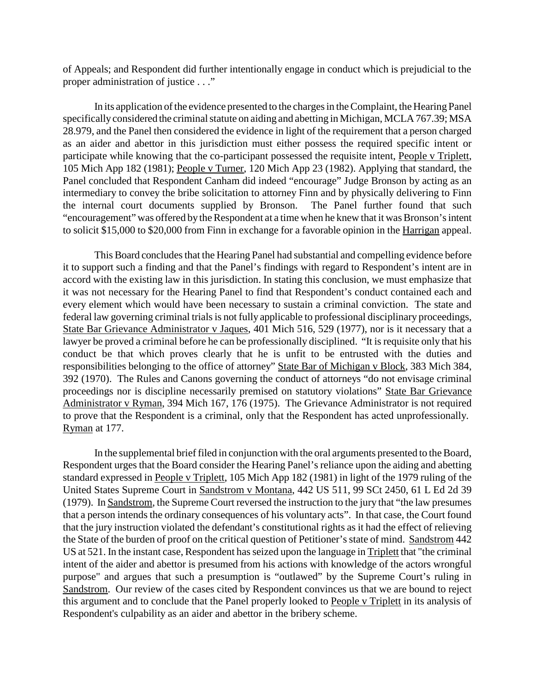of Appeals; and Respondent did further intentionally engage in conduct which is prejudicial to the proper administration of justice . . ."

In its application of the evidence presented to the charges in the Complaint, the Hearing Panel specifically considered the criminal statute on aiding and abetting in Michigan, MCLA 767.39; MSA 28.979, and the Panel then considered the evidence in light of the requirement that a person charged as an aider and abettor in this jurisdiction must either possess the required specific intent or participate while knowing that the co-participant possessed the requisite intent, People v Triplett, 105 Mich App 182 (1981); People v Turner, 120 Mich App 23 (1982). Applying that standard, the Panel concluded that Respondent Canham did indeed "encourage" Judge Bronson by acting as an intermediary to convey the bribe solicitation to attorney Finn and by physically delivering to Finn the internal court documents supplied by Bronson. The Panel further found that such "encouragement" was offered by the Respondent at a time when he knew that it was Bronson's intent to solicit \$15,000 to \$20,000 from Finn in exchange for a favorable opinion in the Harrigan appeal.

This Board concludes that the Hearing Panel had substantial and compelling evidence before it to support such a finding and that the Panel's findings with regard to Respondent's intent are in accord with the existing law in this jurisdiction. In stating this conclusion, we must emphasize that it was not necessary for the Hearing Panel to find that Respondent's conduct contained each and every element which would have been necessary to sustain a criminal conviction. The state and federal law governing criminal trials is not fully applicable to professional disciplinary proceedings, State Bar Grievance Administrator v Jaques, 401 Mich 516, 529 (1977), nor is it necessary that a lawyer be proved a criminal before he can be professionally disciplined. "It is requisite only that his conduct be that which proves clearly that he is unfit to be entrusted with the duties and responsibilities belonging to the office of attorney" State Bar of Michigan v Block, 383 Mich 384, 392 (1970). The Rules and Canons governing the conduct of attorneys "do not envisage criminal proceedings nor is discipline necessarily premised on statutory violations" State Bar Grievance Administrator v Ryman, 394 Mich 167, 176 (1975). The Grievance Administrator is not required to prove that the Respondent is a criminal, only that the Respondent has acted unprofessionally. Ryman at 177.

In the supplemental brief filed in conjunction with the oral arguments presented to the Board, Respondent urges that the Board consider the Hearing Panel's reliance upon the aiding and abetting standard expressed in People v Triplett, 105 Mich App 182 (1981) in light of the 1979 ruling of the United States Supreme Court in Sandstrom v Montana, 442 US 511, 99 SCt 2450, 61 L Ed 2d 39 (1979). In Sandstrom, the Supreme Court reversed the instruction to the jury that "the law presumes that a person intends the ordinary consequences of his voluntary acts". In that case, the Court found that the jury instruction violated the defendant's constitutional rights as it had the effect of relieving the State of the burden of proof on the critical question of Petitioner's state of mind. Sandstrom 442 US at 521. In the instant case, Respondent has seized upon the language in Triplett that "the criminal intent of the aider and abettor is presumed from his actions with knowledge of the actors wrongful purpose" and argues that such a presumption is "outlawed" by the Supreme Court's ruling in Sandstrom. Our review of the cases cited by Respondent convinces us that we are bound to reject this argument and to conclude that the Panel properly looked to People v Triplett in its analysis of Respondent's culpability as an aider and abettor in the bribery scheme.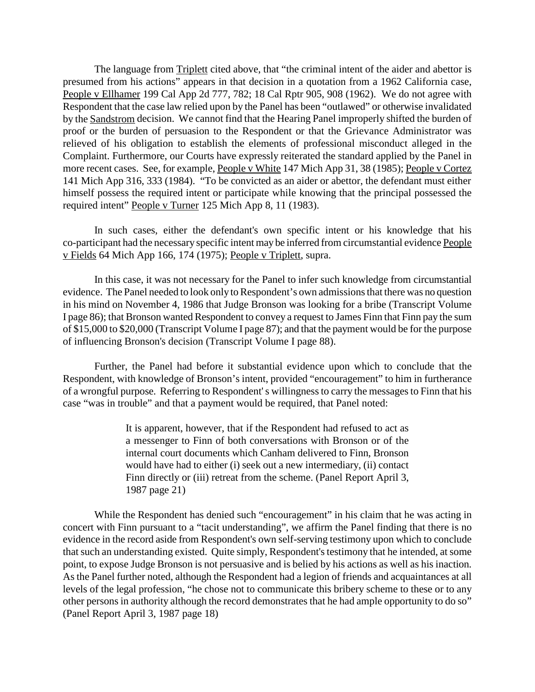The language from **Triplett** cited above, that "the criminal intent of the aider and abettor is presumed from his actions" appears in that decision in a quotation from a 1962 California case, People v Ellhamer 199 Cal App 2d 777, 782; 18 Cal Rptr 905, 908 (1962). We do not agree with Respondent that the case law relied upon by the Panel has been "outlawed" or otherwise invalidated by the Sandstrom decision. We cannot find that the Hearing Panel improperly shifted the burden of proof or the burden of persuasion to the Respondent or that the Grievance Administrator was relieved of his obligation to establish the elements of professional misconduct alleged in the Complaint. Furthermore, our Courts have expressly reiterated the standard applied by the Panel in more recent cases. See, for example, People v White 147 Mich App 31, 38 (1985); People v Cortez 141 Mich App 316, 333 (1984). "To be convicted as an aider or abettor, the defendant must either himself possess the required intent or participate while knowing that the principal possessed the required intent" People v Turner 125 Mich App 8, 11 (1983).

In such cases, either the defendant's own specific intent or his knowledge that his co-participant had the necessary specific intent may be inferred from circumstantial evidence People v Fields 64 Mich App 166, 174 (1975); People v Triplett, supra.

In this case, it was not necessary for the Panel to infer such knowledge from circumstantial evidence. The Panel needed to look only to Respondent's own admissions that there was no question in his mind on November 4, 1986 that Judge Bronson was looking for a bribe (Transcript Volume I page 86); that Bronson wanted Respondent to convey a request to James Finn that Finn pay the sum of \$15,000 to \$20,000 (Transcript Volume I page 87); and that the payment would be for the purpose of influencing Bronson's decision (Transcript Volume I page 88).

Further, the Panel had before it substantial evidence upon which to conclude that the Respondent, with knowledge of Bronson's intent, provided "encouragement" to him in furtherance of a wrongful purpose. Referring to Respondent' s willingness to carry the messages to Finn that his case "was in trouble" and that a payment would be required, that Panel noted:

> It is apparent, however, that if the Respondent had refused to act as a messenger to Finn of both conversations with Bronson or of the internal court documents which Canham delivered to Finn, Bronson would have had to either (i) seek out a new intermediary, (ii) contact Finn directly or (iii) retreat from the scheme. (Panel Report April 3, 1987 page 21)

While the Respondent has denied such "encouragement" in his claim that he was acting in concert with Finn pursuant to a "tacit understanding", we affirm the Panel finding that there is no evidence in the record aside from Respondent's own self-serving testimony upon which to conclude that such an understanding existed. Quite simply, Respondent's testimony that he intended, at some point, to expose Judge Bronson is not persuasive and is belied by his actions as well as his inaction. As the Panel further noted, although the Respondent had a legion of friends and acquaintances at all levels of the legal profession, "he chose not to communicate this bribery scheme to these or to any other persons in authority although the record demonstrates that he had ample opportunity to do so" (Panel Report April 3, 1987 page 18)